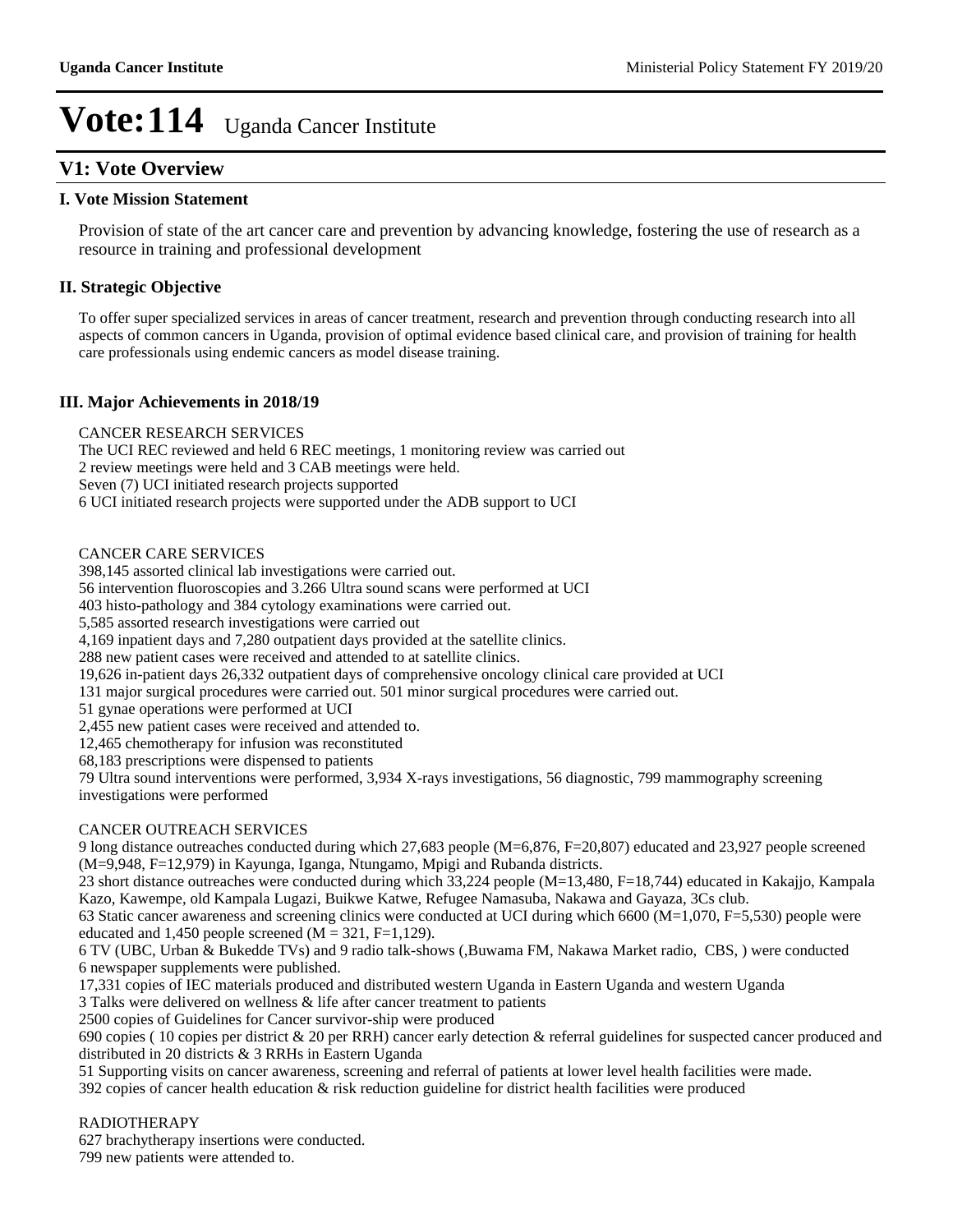#### **V1: Vote Overview**

#### **I. Vote Mission Statement**

Provision of state of the art cancer care and prevention by advancing knowledge, fostering the use of research as a resource in training and professional development

#### **II. Strategic Objective**

To offer super specialized services in areas of cancer treatment, research and prevention through conducting research into all aspects of common cancers in Uganda, provision of optimal evidence based clinical care, and provision of training for health care professionals using endemic cancers as model disease training.

#### **III. Major Achievements in 2018/19**

#### CANCER RESEARCH SERVICES

The UCI REC reviewed and held 6 REC meetings, 1 monitoring review was carried out 2 review meetings were held and 3 CAB meetings were held. Seven (7) UCI initiated research projects supported 6 UCI initiated research projects were supported under the ADB support to UCI

#### CANCER CARE SERVICES

398,145 assorted clinical lab investigations were carried out.

56 intervention fluoroscopies and 3.266 Ultra sound scans were performed at UCI

403 histo-pathology and 384 cytology examinations were carried out.

5,585 assorted research investigations were carried out

4,169 inpatient days and 7,280 outpatient days provided at the satellite clinics.

288 new patient cases were received and attended to at satellite clinics.

19,626 in-patient days 26,332 outpatient days of comprehensive oncology clinical care provided at UCI

131 major surgical procedures were carried out. 501 minor surgical procedures were carried out.

51 gynae operations were performed at UCI

2,455 new patient cases were received and attended to.

12,465 chemotherapy for infusion was reconstituted

68,183 prescriptions were dispensed to patients

79 Ultra sound interventions were performed, 3,934 X-rays investigations, 56 diagnostic, 799 mammography screening investigations were performed

#### CANCER OUTREACH SERVICES

9 long distance outreaches conducted during which 27,683 people (M=6,876, F=20,807) educated and 23,927 people screened (M=9,948, F=12,979) in Kayunga, Iganga, Ntungamo, Mpigi and Rubanda districts.

23 short distance outreaches were conducted during which 33,224 people (M=13,480, F=18,744) educated in Kakajjo, Kampala Kazo, Kawempe, old Kampala Lugazi, Buikwe Katwe, Refugee Namasuba, Nakawa and Gayaza, 3Cs club.

63 Static cancer awareness and screening clinics were conducted at UCI during which 6600 (M=1,070, F=5,530) people were educated and 1,450 people screened ( $M = 321$ , F=1,129).

6 TV (UBC, Urban & Bukedde TVs) and 9 radio talk-shows (,Buwama FM, Nakawa Market radio, CBS, ) were conducted 6 newspaper supplements were published.

17,331 copies of IEC materials produced and distributed western Uganda in Eastern Uganda and western Uganda

3 Talks were delivered on wellness & life after cancer treatment to patients

2500 copies of Guidelines for Cancer survivor-ship were produced

690 copies ( 10 copies per district & 20 per RRH) cancer early detection & referral guidelines for suspected cancer produced and distributed in 20 districts & 3 RRHs in Eastern Uganda

51 Supporting visits on cancer awareness, screening and referral of patients at lower level health facilities were made.

392 copies of cancer health education & risk reduction guideline for district health facilities were produced

#### RADIOTHERAPY

627 brachytherapy insertions were conducted.

799 new patients were attended to.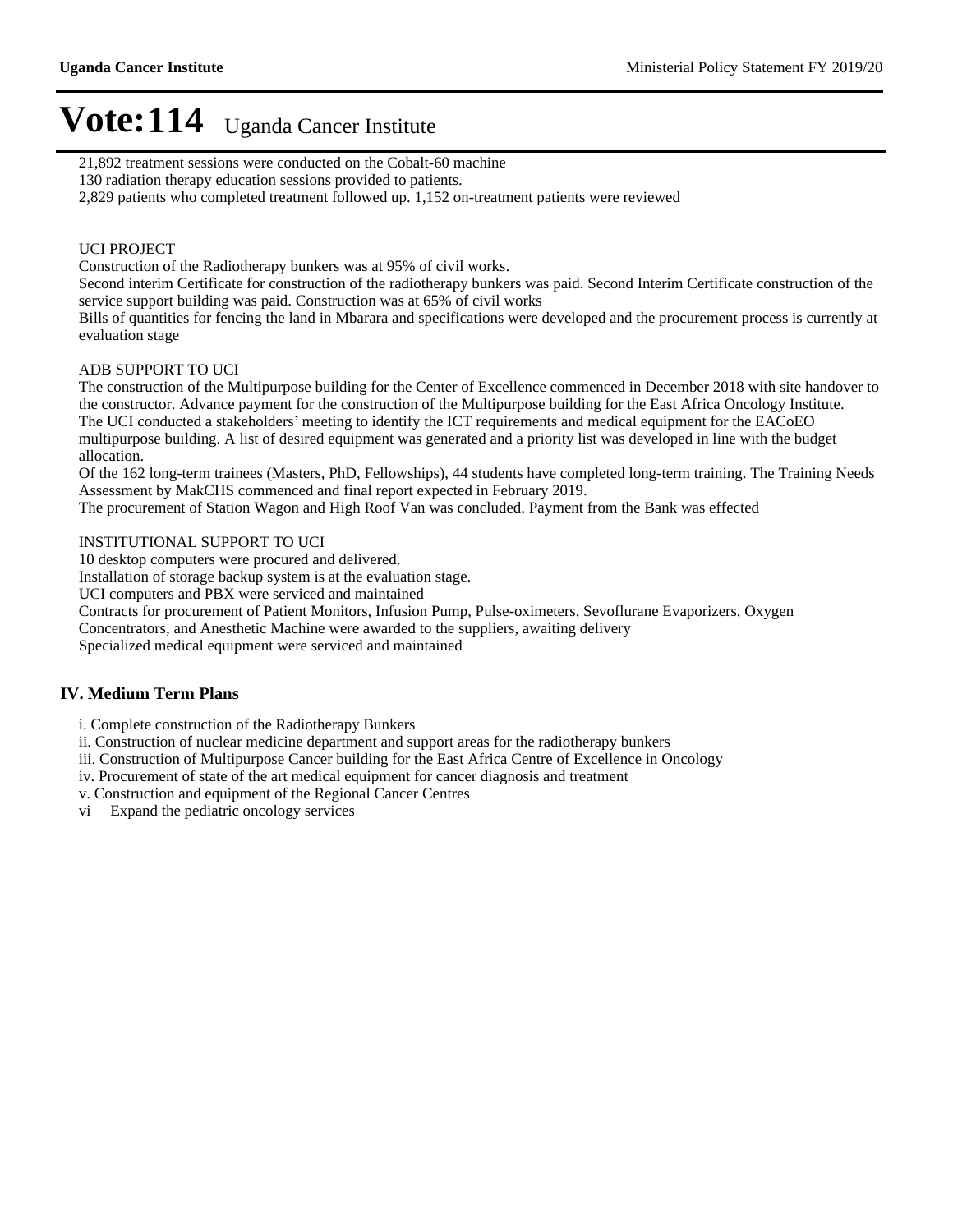21,892 treatment sessions were conducted on the Cobalt-60 machine

130 radiation therapy education sessions provided to patients.

2,829 patients who completed treatment followed up. 1,152 on-treatment patients were reviewed

#### UCI PROJECT

Construction of the Radiotherapy bunkers was at 95% of civil works.

Second interim Certificate for construction of the radiotherapy bunkers was paid. Second Interim Certificate construction of the service support building was paid. Construction was at 65% of civil works

Bills of quantities for fencing the land in Mbarara and specifications were developed and the procurement process is currently at evaluation stage

#### ADB SUPPORT TO UCI

The construction of the Multipurpose building for the Center of Excellence commenced in December 2018 with site handover to the constructor. Advance payment for the construction of the Multipurpose building for the East Africa Oncology Institute. The UCI conducted a stakeholders' meeting to identify the ICT requirements and medical equipment for the EACoEO multipurpose building. A list of desired equipment was generated and a priority list was developed in line with the budget allocation.

Of the 162 long-term trainees (Masters, PhD, Fellowships), 44 students have completed long-term training. The Training Needs Assessment by MakCHS commenced and final report expected in February 2019.

The procurement of Station Wagon and High Roof Van was concluded. Payment from the Bank was effected

#### INSTITUTIONAL SUPPORT TO UCI

10 desktop computers were procured and delivered.

Installation of storage backup system is at the evaluation stage.

UCI computers and PBX were serviced and maintained

Contracts for procurement of Patient Monitors, Infusion Pump, Pulse-oximeters, Sevoflurane Evaporizers, Oxygen

Concentrators, and Anesthetic Machine were awarded to the suppliers, awaiting delivery

Specialized medical equipment were serviced and maintained

#### **IV. Medium Term Plans**

i. Complete construction of the Radiotherapy Bunkers

ii. Construction of nuclear medicine department and support areas for the radiotherapy bunkers

iii. Construction of Multipurpose Cancer building for the East Africa Centre of Excellence in Oncology

iv. Procurement of state of the art medical equipment for cancer diagnosis and treatment

v. Construction and equipment of the Regional Cancer Centres

vi Expand the pediatric oncology services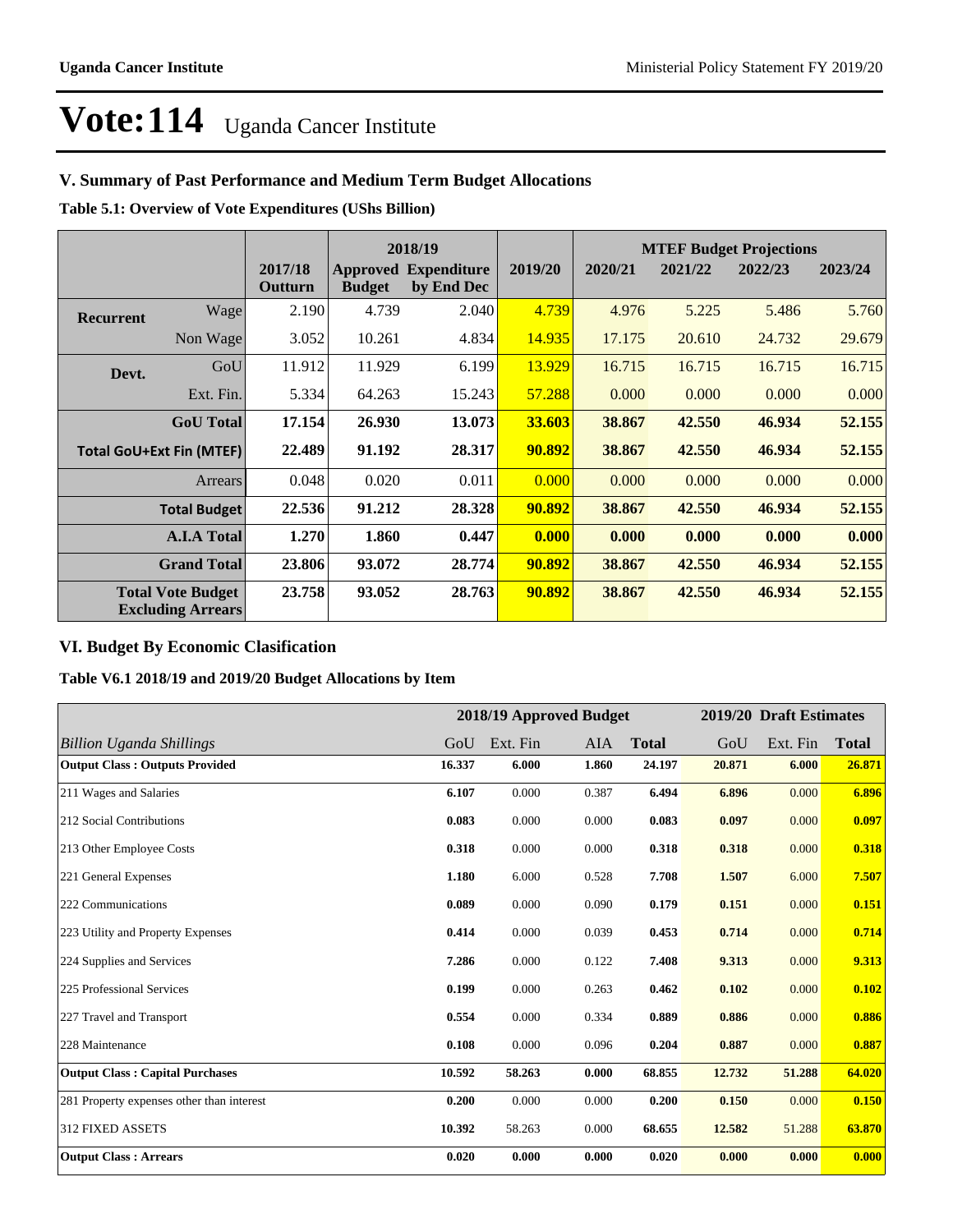#### **V. Summary of Past Performance and Medium Term Budget Allocations**

**Table 5.1: Overview of Vote Expenditures (UShs Billion)**

|                  |                                                      |                    | 2018/19       |                                           |         |         | <b>MTEF Budget Projections</b> |         |         |
|------------------|------------------------------------------------------|--------------------|---------------|-------------------------------------------|---------|---------|--------------------------------|---------|---------|
|                  |                                                      | 2017/18<br>Outturn | <b>Budget</b> | <b>Approved Expenditure</b><br>by End Dec | 2019/20 | 2020/21 | 2021/22                        | 2022/23 | 2023/24 |
| <b>Recurrent</b> | Wage                                                 | 2.190              | 4.739         | 2.040                                     | 4.739   | 4.976   | 5.225                          | 5.486   | 5.760   |
|                  | Non Wage                                             | 3.052              | 10.261        | 4.834                                     | 14.935  | 17.175  | 20.610                         | 24.732  | 29.679  |
| Devt.            | GoU                                                  | 11.912             | 11.929        | 6.199                                     | 13.929  | 16.715  | 16.715                         | 16.715  | 16.715  |
|                  | Ext. Fin.                                            | 5.334              | 64.263        | 15.243                                    | 57.288  | 0.000   | 0.000                          | 0.000   | 0.000   |
|                  | <b>GoU</b> Total                                     | 17.154             | 26.930        | 13.073                                    | 33.603  | 38.867  | 42.550                         | 46.934  | 52.155  |
|                  | <b>Total GoU+Ext Fin (MTEF)</b>                      | 22.489             | 91.192        | 28.317                                    | 90.892  | 38.867  | 42.550                         | 46.934  | 52.155  |
|                  | <b>Arrears</b>                                       | 0.048              | 0.020         | 0.011                                     | 0.000   | 0.000   | 0.000                          | 0.000   | 0.000   |
|                  | <b>Total Budget</b>                                  | 22.536             | 91.212        | 28.328                                    | 90.892  | 38.867  | 42.550                         | 46.934  | 52.155  |
|                  | <b>A.I.A Total</b>                                   | 1.270              | 1.860         | 0.447                                     | 0.000   | 0.000   | 0.000                          | 0.000   | 0.000   |
|                  | <b>Grand Total</b>                                   | 23.806             | 93.072        | 28.774                                    | 90.892  | 38.867  | 42.550                         | 46.934  | 52.155  |
|                  | <b>Total Vote Budget</b><br><b>Excluding Arrears</b> | 23.758             | 93.052        | 28.763                                    | 90.892  | 38.867  | 42.550                         | 46.934  | 52.155  |

#### **VI. Budget By Economic Clasification**

**Table V6.1 2018/19 and 2019/20 Budget Allocations by Item**

|                                           |        |          | 2018/19 Approved Budget |              |        | 2019/20 Draft Estimates |              |
|-------------------------------------------|--------|----------|-------------------------|--------------|--------|-------------------------|--------------|
| Billion Uganda Shillings                  | GoU    | Ext. Fin | AIA                     | <b>Total</b> | GoU    | Ext. Fin                | <b>Total</b> |
| <b>Output Class: Outputs Provided</b>     | 16.337 | 6.000    | 1.860                   | 24.197       | 20.871 | 6.000                   | 26.871       |
| 211 Wages and Salaries                    | 6.107  | 0.000    | 0.387                   | 6.494        | 6.896  | 0.000                   | 6.896        |
| 212 Social Contributions                  | 0.083  | 0.000    | 0.000                   | 0.083        | 0.097  | 0.000                   | 0.097        |
| 213 Other Employee Costs                  | 0.318  | 0.000    | 0.000                   | 0.318        | 0.318  | 0.000                   | 0.318        |
| 221 General Expenses                      | 1.180  | 6.000    | 0.528                   | 7.708        | 1.507  | 6.000                   | 7.507        |
| 222 Communications                        | 0.089  | 0.000    | 0.090                   | 0.179        | 0.151  | 0.000                   | 0.151        |
| 223 Utility and Property Expenses         | 0.414  | 0.000    | 0.039                   | 0.453        | 0.714  | 0.000                   | 0.714        |
| 224 Supplies and Services                 | 7.286  | 0.000    | 0.122                   | 7.408        | 9.313  | 0.000                   | 9.313        |
| 225 Professional Services                 | 0.199  | 0.000    | 0.263                   | 0.462        | 0.102  | 0.000                   | 0.102        |
| 227 Travel and Transport                  | 0.554  | 0.000    | 0.334                   | 0.889        | 0.886  | 0.000                   | 0.886        |
| 228 Maintenance                           | 0.108  | 0.000    | 0.096                   | 0.204        | 0.887  | 0.000                   | 0.887        |
| <b>Output Class: Capital Purchases</b>    | 10.592 | 58.263   | 0.000                   | 68.855       | 12.732 | 51.288                  | 64.020       |
| 281 Property expenses other than interest | 0.200  | 0.000    | 0.000                   | 0.200        | 0.150  | 0.000                   | 0.150        |
| <b>312 FIXED ASSETS</b>                   | 10.392 | 58.263   | 0.000                   | 68.655       | 12.582 | 51.288                  | 63.870       |
| <b>Output Class: Arrears</b>              | 0.020  | 0.000    | 0.000                   | 0.020        | 0.000  | 0.000                   | 0.000        |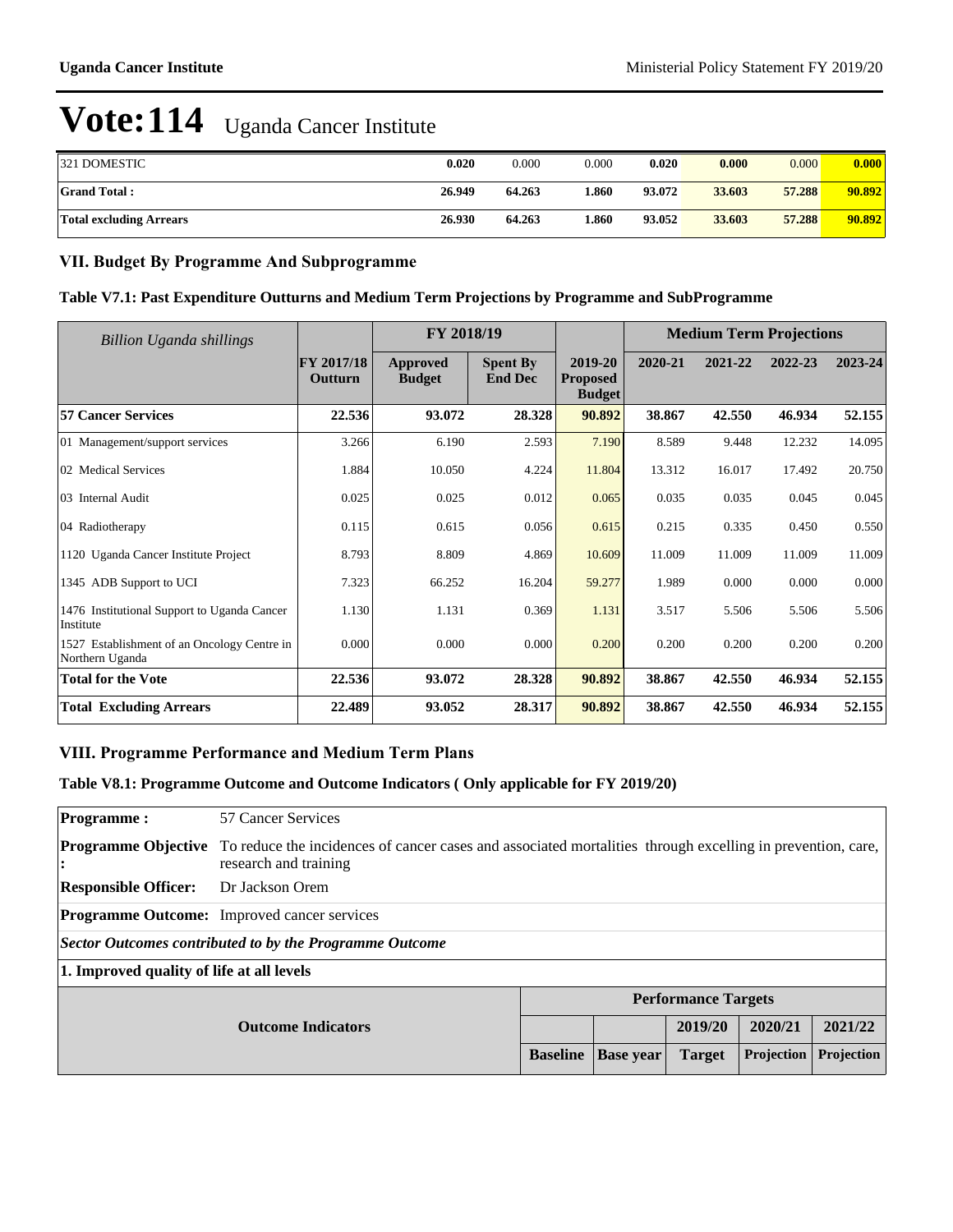| <b>321 DOMESTIC</b>            | 0.020  | 0.000  | 0.000 | 0.020  | 0.000  | 0.000  | 0.000  |
|--------------------------------|--------|--------|-------|--------|--------|--------|--------|
| <b>Grand Total:</b>            | 26.949 | 64.263 | l.860 | 93.072 | 33.603 | 57.288 | 90.892 |
| <b>Total excluding Arrears</b> | 26.930 | 64.263 | 860   | 93.052 | 33.603 | 57.288 | 90.892 |

#### **VII. Budget By Programme And Subprogramme**

#### **Table V7.1: Past Expenditure Outturns and Medium Term Projections by Programme and SubProgramme**

| Billion Uganda shillings                                       |                       | FY 2018/19                |                                   |                                             |         | <b>Medium Term Projections</b> |         |         |
|----------------------------------------------------------------|-----------------------|---------------------------|-----------------------------------|---------------------------------------------|---------|--------------------------------|---------|---------|
|                                                                | FY 2017/18<br>Outturn | Approved<br><b>Budget</b> | <b>Spent By</b><br><b>End Dec</b> | 2019-20<br><b>Proposed</b><br><b>Budget</b> | 2020-21 | 2021-22                        | 2022-23 | 2023-24 |
| <b>57 Cancer Services</b>                                      | 22.536                | 93.072                    | 28.328                            | 90.892                                      | 38.867  | 42.550                         | 46.934  | 52.155  |
| 01 Management/support services                                 | 3.266                 | 6.190                     | 2.593                             | 7.190                                       | 8.589   | 9.448                          | 12.232  | 14.095  |
| 02 Medical Services                                            | 1.884                 | 10.050                    | 4.224                             | 11.804                                      | 13.312  | 16.017                         | 17.492  | 20.750  |
| 03 Internal Audit                                              | 0.025                 | 0.025                     | 0.012                             | 0.065                                       | 0.035   | 0.035                          | 0.045   | 0.045   |
| 04 Radiotherapy                                                | 0.115                 | 0.615                     | 0.056                             | 0.615                                       | 0.215   | 0.335                          | 0.450   | 0.550   |
| 1120 Uganda Cancer Institute Project                           | 8.793                 | 8.809                     | 4.869                             | 10.609                                      | 11.009  | 11.009                         | 11.009  | 11.009  |
| 1345 ADB Support to UCI                                        | 7.323                 | 66.252                    | 16.204                            | 59.277                                      | 1.989   | 0.000                          | 0.000   | 0.000   |
| 1476 Institutional Support to Uganda Cancer<br>Institute       | 1.130                 | 1.131                     | 0.369                             | 1.131                                       | 3.517   | 5.506                          | 5.506   | 5.506   |
| 1527 Establishment of an Oncology Centre in<br>Northern Uganda | 0.000                 | 0.000                     | 0.000                             | 0.200                                       | 0.200   | 0.200                          | 0.200   | 0.200   |
| <b>Total for the Vote</b>                                      | 22.536                | 93.072                    | 28.328                            | 90.892                                      | 38.867  | 42.550                         | 46.934  | 52.155  |
| <b>Total Excluding Arrears</b>                                 | 22.489                | 93.052                    | 28.317                            | 90.892                                      | 38.867  | 42.550                         | 46.934  | 52.155  |

#### **VIII. Programme Performance and Medium Term Plans**

#### **Table V8.1: Programme Outcome and Outcome Indicators ( Only applicable for FY 2019/20)**

| <b>Programme:</b>                         | 57 Cancer Services                                                                                                                  |                 |                  |               |            |            |
|-------------------------------------------|-------------------------------------------------------------------------------------------------------------------------------------|-----------------|------------------|---------------|------------|------------|
| <b>Programme Objective</b><br>:           | To reduce the incidences of cancer cases and associated mortalities through excelling in prevention, care,<br>research and training |                 |                  |               |            |            |
| <b>Responsible Officer:</b>               | Dr Jackson Orem                                                                                                                     |                 |                  |               |            |            |
|                                           | <b>Programme Outcome:</b> Improved cancer services                                                                                  |                 |                  |               |            |            |
|                                           | Sector Outcomes contributed to by the Programme Outcome                                                                             |                 |                  |               |            |            |
| 1. Improved quality of life at all levels |                                                                                                                                     |                 |                  |               |            |            |
|                                           | <b>Performance Targets</b>                                                                                                          |                 |                  |               |            |            |
|                                           | <b>Outcome Indicators</b>                                                                                                           |                 |                  | 2019/20       | 2020/21    | 2021/22    |
|                                           |                                                                                                                                     | <b>Baseline</b> | <b>Base year</b> | <b>Target</b> | Projection | Projection |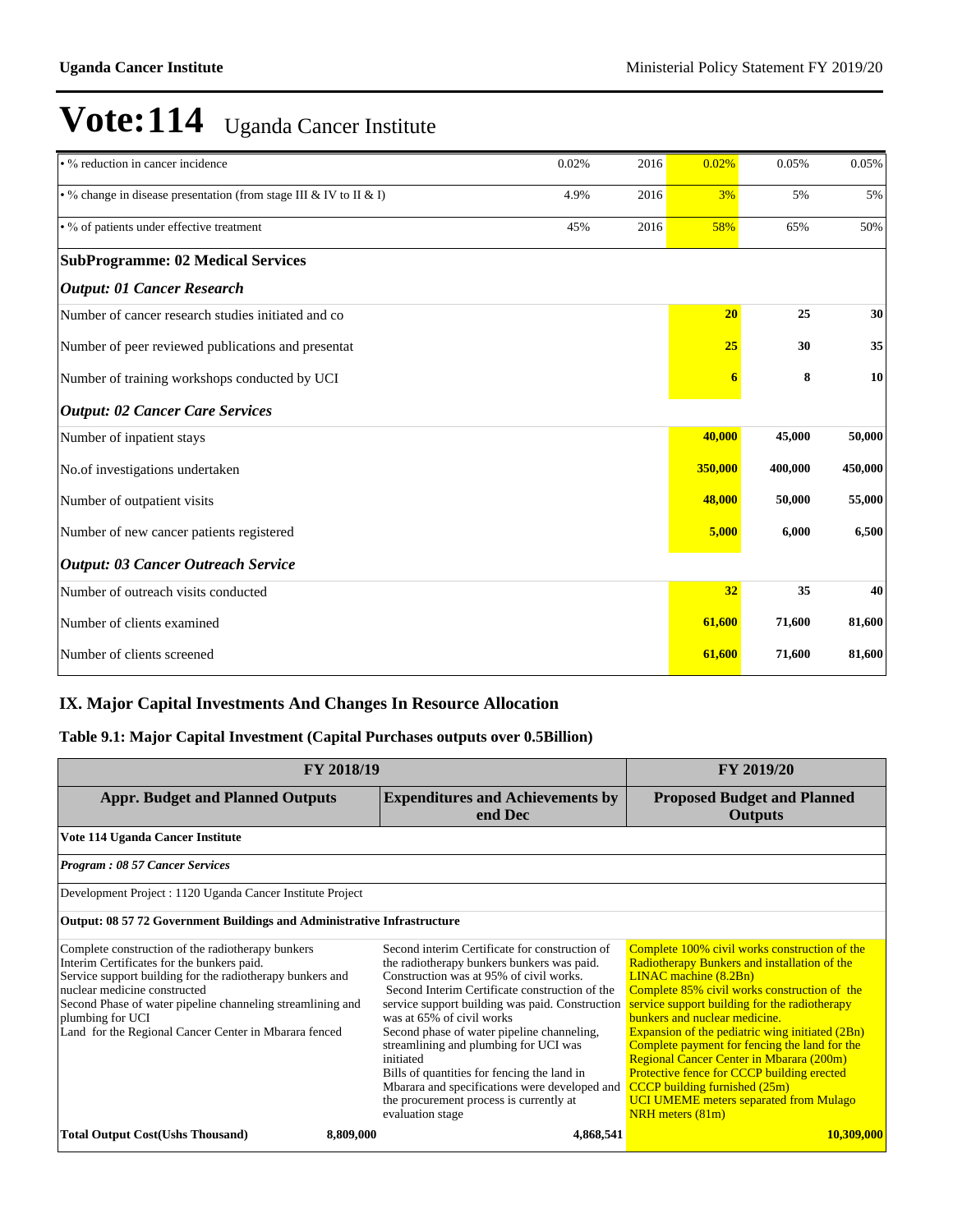| • % reduction in cancer incidence                                  | 0.02% | 2016 | 0.02%   | 0.05%   | 0.05%   |
|--------------------------------------------------------------------|-------|------|---------|---------|---------|
| • % change in disease presentation (from stage III & IV to II & I) | 4.9%  | 2016 | 3%      | 5%      | 5%      |
| • % of patients under effective treatment                          | 45%   | 2016 | 58%     | 65%     | 50%     |
| <b>SubProgramme: 02 Medical Services</b>                           |       |      |         |         |         |
| <b>Output: 01 Cancer Research</b>                                  |       |      |         |         |         |
| Number of cancer research studies initiated and co                 |       |      | 20      | 25      | 30      |
| Number of peer reviewed publications and presentat                 |       |      | 25      | 30      | 35      |
| Number of training workshops conducted by UCI                      |       |      |         | 8       | 10      |
| <b>Output: 02 Cancer Care Services</b>                             |       |      |         |         |         |
| Number of inpatient stays                                          |       |      | 40,000  | 45,000  | 50,000  |
| No.of investigations undertaken                                    |       |      | 350,000 | 400,000 | 450,000 |
| Number of outpatient visits                                        |       |      | 48,000  | 50,000  | 55,000  |
| Number of new cancer patients registered                           |       |      | 5,000   | 6,000   | 6,500   |
| <b>Output: 03 Cancer Outreach Service</b>                          |       |      |         |         |         |
| Number of outreach visits conducted                                |       |      | 32      | 35      | 40      |
| Number of clients examined                                         |       |      | 61,600  | 71,600  | 81,600  |
| Number of clients screened                                         |       |      | 61,600  | 71,600  | 81,600  |

#### **IX. Major Capital Investments And Changes In Resource Allocation**

#### **Table 9.1: Major Capital Investment (Capital Purchases outputs over 0.5Billion)**

| FY 2018/19                                                                                                                                                                                                                                                                                                                              | FY 2019/20                                                                                                                                                                                                                                                                                                                                                                                                                                                                                                                                   |                                                                                                                                                                                                                                                                                                                                                                                                                                                                                                                                                                     |
|-----------------------------------------------------------------------------------------------------------------------------------------------------------------------------------------------------------------------------------------------------------------------------------------------------------------------------------------|----------------------------------------------------------------------------------------------------------------------------------------------------------------------------------------------------------------------------------------------------------------------------------------------------------------------------------------------------------------------------------------------------------------------------------------------------------------------------------------------------------------------------------------------|---------------------------------------------------------------------------------------------------------------------------------------------------------------------------------------------------------------------------------------------------------------------------------------------------------------------------------------------------------------------------------------------------------------------------------------------------------------------------------------------------------------------------------------------------------------------|
| <b>Appr. Budget and Planned Outputs</b>                                                                                                                                                                                                                                                                                                 | <b>Expenditures and Achievements by</b><br>end Dec                                                                                                                                                                                                                                                                                                                                                                                                                                                                                           | <b>Proposed Budget and Planned</b><br><b>Outputs</b>                                                                                                                                                                                                                                                                                                                                                                                                                                                                                                                |
| Vote 114 Uganda Cancer Institute                                                                                                                                                                                                                                                                                                        |                                                                                                                                                                                                                                                                                                                                                                                                                                                                                                                                              |                                                                                                                                                                                                                                                                                                                                                                                                                                                                                                                                                                     |
| <b>Program: 08 57 Cancer Services</b>                                                                                                                                                                                                                                                                                                   |                                                                                                                                                                                                                                                                                                                                                                                                                                                                                                                                              |                                                                                                                                                                                                                                                                                                                                                                                                                                                                                                                                                                     |
| Development Project : 1120 Uganda Cancer Institute Project                                                                                                                                                                                                                                                                              |                                                                                                                                                                                                                                                                                                                                                                                                                                                                                                                                              |                                                                                                                                                                                                                                                                                                                                                                                                                                                                                                                                                                     |
| <b>Output: 08 57 72 Government Buildings and Administrative Infrastructure</b>                                                                                                                                                                                                                                                          |                                                                                                                                                                                                                                                                                                                                                                                                                                                                                                                                              |                                                                                                                                                                                                                                                                                                                                                                                                                                                                                                                                                                     |
| Complete construction of the radiotherapy bunkers<br>Interim Certificates for the bunkers paid.<br>Service support building for the radiotherapy bunkers and<br>nuclear medicine constructed<br>Second Phase of water pipeline channeling streamlining and<br>plumbing for UCI<br>Land for the Regional Cancer Center in Mbarara fenced | Second interim Certificate for construction of<br>the radiotherapy bunkers bunkers was paid.<br>Construction was at 95% of civil works.<br>Second Interim Certificate construction of the<br>service support building was paid. Construction<br>was at 65% of civil works<br>Second phase of water pipeline channeling,<br>streamlining and plumbing for UCI was<br>initiated<br>Bills of quantities for fencing the land in<br>Mbarara and specifications were developed and<br>the procurement process is currently at<br>evaluation stage | Complete 100% civil works construction of the<br>Radiotherapy Bunkers and installation of the<br>LINAC machine (8.2Bn)<br>Complete 85% civil works construction of the<br>service support building for the radiotherapy<br>bunkers and nuclear medicine.<br>Expansion of the pediatric wing initiated (2Bn)<br>Complete payment for fencing the land for the<br>Regional Cancer Center in Mbarara (200m)<br>Protective fence for CCCP building erected<br><b>CCCP</b> building furnished (25m)<br><b>UCI UMEME</b> meters separated from Mulago<br>NRH meters (81m) |
| <b>Total Output Cost(Ushs Thousand)</b><br>8,809,000                                                                                                                                                                                                                                                                                    | 4,868,541                                                                                                                                                                                                                                                                                                                                                                                                                                                                                                                                    | 10,309,000                                                                                                                                                                                                                                                                                                                                                                                                                                                                                                                                                          |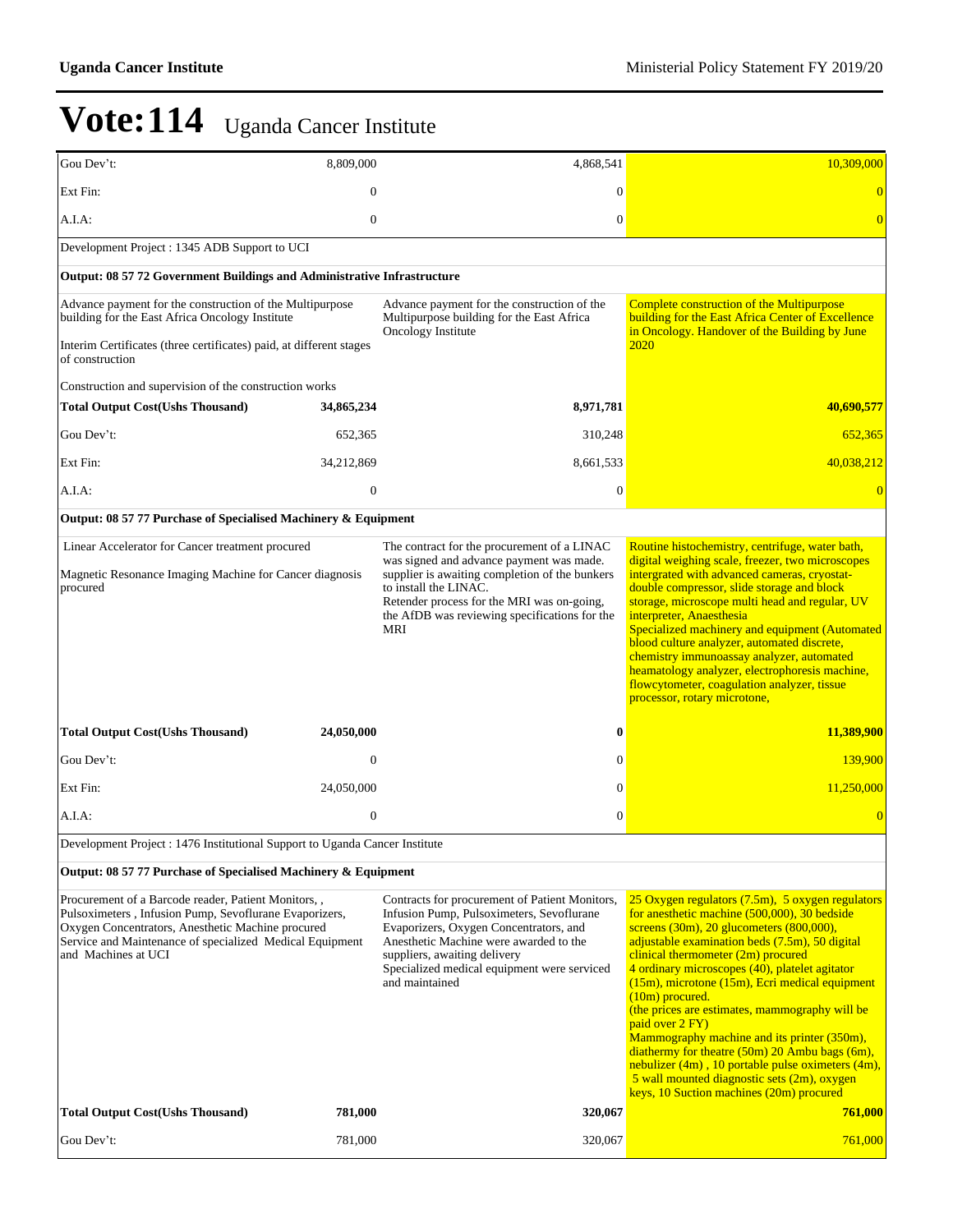| Gou Dev't:                                                                                                                                                                                                                                            | 8,809,000    | 4,868,541                                                                                                                                                                                                                                                                        | 10,309,000                                                                                                                                                                                                                                                                                                                                                                                                                                                                                                                                                                                                                                                                                           |
|-------------------------------------------------------------------------------------------------------------------------------------------------------------------------------------------------------------------------------------------------------|--------------|----------------------------------------------------------------------------------------------------------------------------------------------------------------------------------------------------------------------------------------------------------------------------------|------------------------------------------------------------------------------------------------------------------------------------------------------------------------------------------------------------------------------------------------------------------------------------------------------------------------------------------------------------------------------------------------------------------------------------------------------------------------------------------------------------------------------------------------------------------------------------------------------------------------------------------------------------------------------------------------------|
| Ext Fin:                                                                                                                                                                                                                                              | $\mathbf{0}$ | $\overline{0}$                                                                                                                                                                                                                                                                   | $\theta$                                                                                                                                                                                                                                                                                                                                                                                                                                                                                                                                                                                                                                                                                             |
| $A.I.A$ :                                                                                                                                                                                                                                             | $\mathbf{0}$ | $\theta$                                                                                                                                                                                                                                                                         | $\overline{0}$                                                                                                                                                                                                                                                                                                                                                                                                                                                                                                                                                                                                                                                                                       |
| Development Project : 1345 ADB Support to UCI                                                                                                                                                                                                         |              |                                                                                                                                                                                                                                                                                  |                                                                                                                                                                                                                                                                                                                                                                                                                                                                                                                                                                                                                                                                                                      |
| Output: 08 57 72 Government Buildings and Administrative Infrastructure                                                                                                                                                                               |              |                                                                                                                                                                                                                                                                                  |                                                                                                                                                                                                                                                                                                                                                                                                                                                                                                                                                                                                                                                                                                      |
| Advance payment for the construction of the Multipurpose<br>building for the East Africa Oncology Institute                                                                                                                                           |              | Advance payment for the construction of the<br>Multipurpose building for the East Africa<br>Oncology Institute                                                                                                                                                                   | <b>Complete construction of the Multipurpose</b><br>building for the East Africa Center of Excellence<br>in Oncology. Handover of the Building by June                                                                                                                                                                                                                                                                                                                                                                                                                                                                                                                                               |
| Interim Certificates (three certificates) paid, at different stages<br>of construction                                                                                                                                                                |              |                                                                                                                                                                                                                                                                                  | 2020                                                                                                                                                                                                                                                                                                                                                                                                                                                                                                                                                                                                                                                                                                 |
| Construction and supervision of the construction works                                                                                                                                                                                                |              |                                                                                                                                                                                                                                                                                  |                                                                                                                                                                                                                                                                                                                                                                                                                                                                                                                                                                                                                                                                                                      |
| <b>Total Output Cost(Ushs Thousand)</b>                                                                                                                                                                                                               | 34,865,234   | 8,971,781                                                                                                                                                                                                                                                                        | 40,690,577                                                                                                                                                                                                                                                                                                                                                                                                                                                                                                                                                                                                                                                                                           |
| Gou Dev't:                                                                                                                                                                                                                                            | 652,365      | 310,248                                                                                                                                                                                                                                                                          | 652,365                                                                                                                                                                                                                                                                                                                                                                                                                                                                                                                                                                                                                                                                                              |
| Ext Fin:                                                                                                                                                                                                                                              | 34,212,869   | 8,661,533                                                                                                                                                                                                                                                                        | 40,038,212                                                                                                                                                                                                                                                                                                                                                                                                                                                                                                                                                                                                                                                                                           |
| A.I.A:                                                                                                                                                                                                                                                | $\mathbf{0}$ | $\mathbf{0}$                                                                                                                                                                                                                                                                     |                                                                                                                                                                                                                                                                                                                                                                                                                                                                                                                                                                                                                                                                                                      |
| Output: 08 57 77 Purchase of Specialised Machinery & Equipment                                                                                                                                                                                        |              |                                                                                                                                                                                                                                                                                  |                                                                                                                                                                                                                                                                                                                                                                                                                                                                                                                                                                                                                                                                                                      |
| Linear Accelerator for Cancer treatment procured                                                                                                                                                                                                      |              | The contract for the procurement of a LINAC<br>was signed and advance payment was made.                                                                                                                                                                                          | Routine histochemistry, centrifuge, water bath,<br>digital weighing scale, freezer, two microscopes                                                                                                                                                                                                                                                                                                                                                                                                                                                                                                                                                                                                  |
| Magnetic Resonance Imaging Machine for Cancer diagnosis<br>procured                                                                                                                                                                                   |              | supplier is awaiting completion of the bunkers<br>to install the LINAC.<br>Retender process for the MRI was on-going,<br>the AfDB was reviewing specifications for the<br>MRI                                                                                                    | intergrated with advanced cameras, cryostat-<br>double compressor, slide storage and block<br>storage, microscope multi head and regular, UV<br>interpreter, Anaesthesia<br>Specialized machinery and equipment (Automated<br>blood culture analyzer, automated discrete,<br>chemistry immunoassay analyzer, automated<br>heamatology analyzer, electrophoresis machine,<br>flowcytometer, coagulation analyzer, tissue<br>processor, rotary microtone,                                                                                                                                                                                                                                              |
| <b>Total Output Cost(Ushs Thousand)</b>                                                                                                                                                                                                               | 24,050,000   | 0                                                                                                                                                                                                                                                                                | 11,389,900                                                                                                                                                                                                                                                                                                                                                                                                                                                                                                                                                                                                                                                                                           |
| Gou Dev't:                                                                                                                                                                                                                                            | $\mathbf{0}$ | $\Omega$                                                                                                                                                                                                                                                                         | 139,900                                                                                                                                                                                                                                                                                                                                                                                                                                                                                                                                                                                                                                                                                              |
| Ext Fin:                                                                                                                                                                                                                                              | 24,050,000   | $\Omega$                                                                                                                                                                                                                                                                         | 11,250,000                                                                                                                                                                                                                                                                                                                                                                                                                                                                                                                                                                                                                                                                                           |
| A.I.A:                                                                                                                                                                                                                                                | $\mathbf{0}$ | $\mathbf{0}$                                                                                                                                                                                                                                                                     | $\overline{0}$                                                                                                                                                                                                                                                                                                                                                                                                                                                                                                                                                                                                                                                                                       |
| Development Project : 1476 Institutional Support to Uganda Cancer Institute                                                                                                                                                                           |              |                                                                                                                                                                                                                                                                                  |                                                                                                                                                                                                                                                                                                                                                                                                                                                                                                                                                                                                                                                                                                      |
| Output: 08 57 77 Purchase of Specialised Machinery & Equipment                                                                                                                                                                                        |              |                                                                                                                                                                                                                                                                                  |                                                                                                                                                                                                                                                                                                                                                                                                                                                                                                                                                                                                                                                                                                      |
| Procurement of a Barcode reader, Patient Monitors,,<br>Pulsoximeters, Infusion Pump, Sevoflurane Evaporizers,<br>Oxygen Concentrators, Anesthetic Machine procured<br>Service and Maintenance of specialized Medical Equipment<br>and Machines at UCI |              | Contracts for procurement of Patient Monitors,<br>Infusion Pump, Pulsoximeters, Sevoflurane<br>Evaporizers, Oxygen Concentrators, and<br>Anesthetic Machine were awarded to the<br>suppliers, awaiting delivery<br>Specialized medical equipment were serviced<br>and maintained | 25 Oxygen regulators (7.5m), 5 oxygen regulators<br>for anesthetic machine (500,000), 30 bedside<br>screens $(30m)$ , 20 glucometers $(800,000)$ ,<br>adjustable examination beds (7.5m), 50 digital<br>clinical thermometer (2m) procured<br>4 ordinary microscopes (40), platelet agitator<br>(15m), microtone (15m), Ecri medical equipment<br>$(10m)$ procured.<br>(the prices are estimates, mammography will be<br>paid over 2 FY)<br>Mammography machine and its printer (350m),<br>diathermy for theatre $(50m)$ 20 Ambu bags $(6m)$ ,<br>nebulizer $(4m)$ , 10 portable pulse oximeters $(4m)$ ,<br>5 wall mounted diagnostic sets (2m), oxygen<br>keys, 10 Suction machines (20m) procured |
| <b>Total Output Cost(Ushs Thousand)</b>                                                                                                                                                                                                               | 781,000      | 320,067                                                                                                                                                                                                                                                                          | 761,000                                                                                                                                                                                                                                                                                                                                                                                                                                                                                                                                                                                                                                                                                              |
| Gou Dev't:                                                                                                                                                                                                                                            | 781,000      | 320,067                                                                                                                                                                                                                                                                          | 761,000                                                                                                                                                                                                                                                                                                                                                                                                                                                                                                                                                                                                                                                                                              |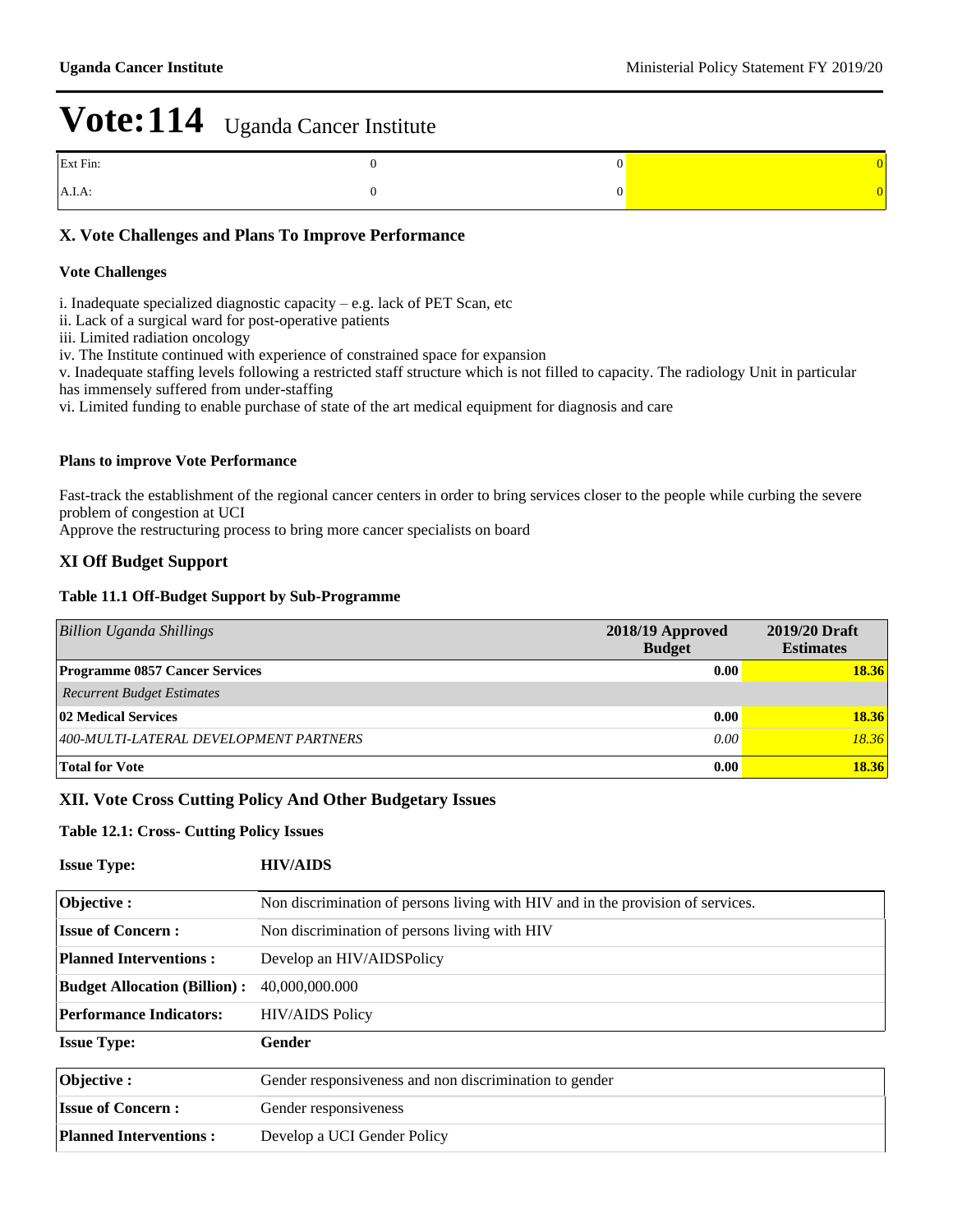| Ext Fin: |  |
|----------|--|
| A.I.A:   |  |

#### **X. Vote Challenges and Plans To Improve Performance**

#### **Vote Challenges**

i. Inadequate specialized diagnostic capacity  $-e.g.$  lack of PET Scan, etc

- ii. Lack of a surgical ward for post-operative patients
- iii. Limited radiation oncology
- iv. The Institute continued with experience of constrained space for expansion
- v. Inadequate staffing levels following a restricted staff structure which is not filled to capacity. The radiology Unit in particular has immensely suffered from under-staffing
- vi. Limited funding to enable purchase of state of the art medical equipment for diagnosis and care

#### **Plans to improve Vote Performance**

Fast-track the establishment of the regional cancer centers in order to bring services closer to the people while curbing the severe problem of congestion at UCI

Approve the restructuring process to bring more cancer specialists on board

#### **XI Off Budget Support**

#### **Table 11.1 Off-Budget Support by Sub-Programme**

| <b>Billion Uganda Shillings</b>        | 2018/19 Approved<br><b>Budget</b> | 2019/20 Draft<br><b>Estimates</b> |
|----------------------------------------|-----------------------------------|-----------------------------------|
| <b>Programme 0857 Cancer Services</b>  | 0.00                              | 18.36                             |
| <b>Recurrent Budget Estimates</b>      |                                   |                                   |
| 02 Medical Services                    | 0.00                              | 18.36                             |
| 400-MULTI-LATERAL DEVELOPMENT PARTNERS | 0.00                              | 18.36                             |
| <b>Total for Vote</b>                  | 0.00                              | 18.36                             |

#### **XII. Vote Cross Cutting Policy And Other Budgetary Issues**

#### **Table 12.1: Cross- Cutting Policy Issues**

| <b>Issue Type:</b>                  | <b>HIV/AIDS</b>                                                                 |
|-------------------------------------|---------------------------------------------------------------------------------|
| Objective:                          | Non discrimination of persons living with HIV and in the provision of services. |
| <b>Issue of Concern:</b>            | Non discrimination of persons living with HIV                                   |
| <b>Planned Interventions:</b>       | Develop an HIV/AIDSPolicy                                                       |
| <b>Budget Allocation (Billion):</b> | 40,000,000,000                                                                  |
| <b>Performance Indicators:</b>      | <b>HIV/AIDS Policy</b>                                                          |
| <b>Issue Type:</b>                  | Gender                                                                          |
| Objective:                          | Gender responsiveness and non discrimination to gender                          |
| <b>Issue of Concern:</b>            | Gender responsiveness                                                           |
| <b>Planned Interventions:</b>       | Develop a UCI Gender Policy                                                     |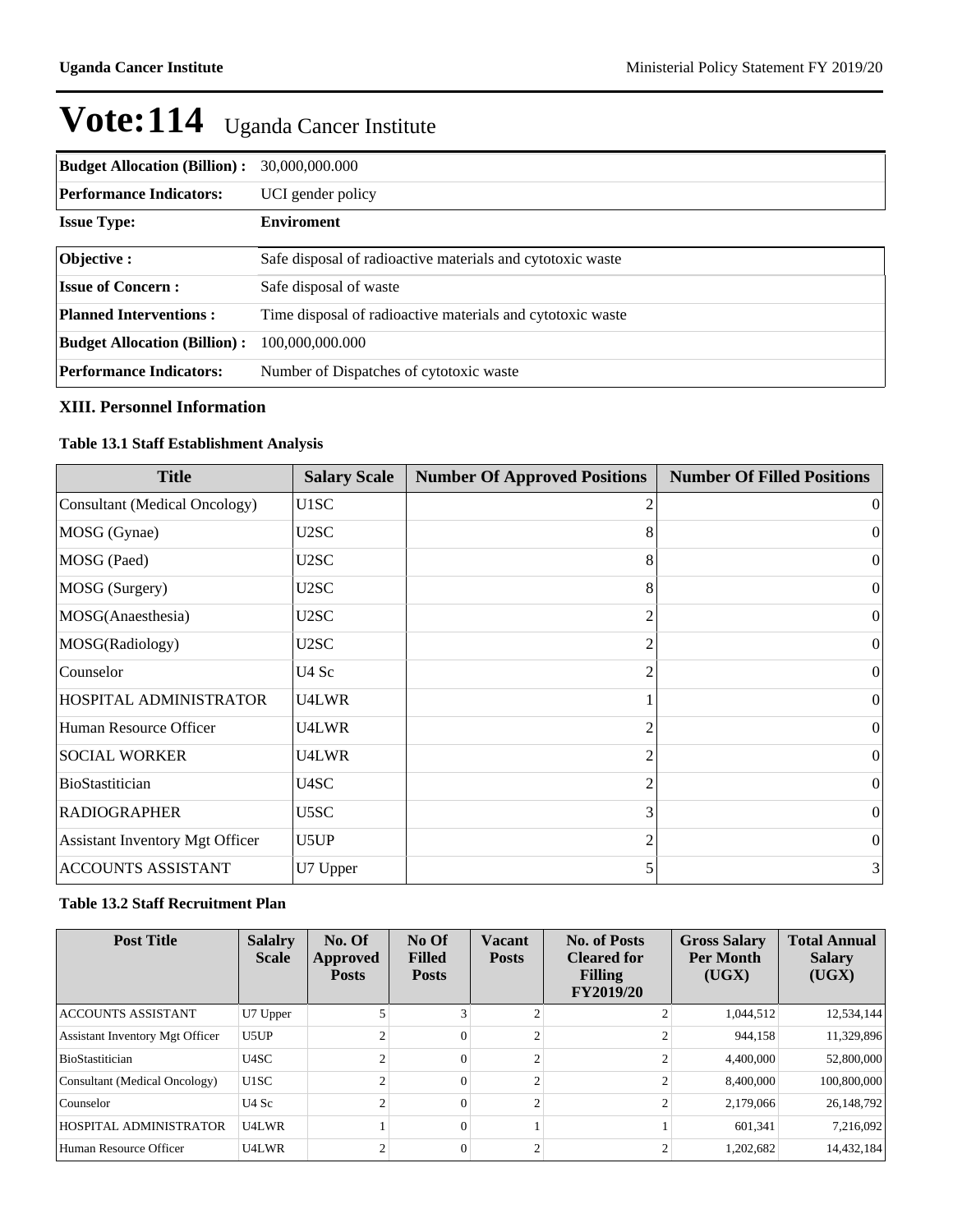| <b>Budget Allocation (Billion):</b> | 30,000,000.000                                             |
|-------------------------------------|------------------------------------------------------------|
| <b>Performance Indicators:</b>      | UCI gender policy                                          |
| <b>Issue Type:</b>                  | <b>Enviroment</b>                                          |
| Objective :                         | Safe disposal of radioactive materials and cytotoxic waste |
| <b>Issue of Concern:</b>            | Safe disposal of waste                                     |
| <b>Planned Interventions:</b>       | Time disposal of radioactive materials and cytotoxic waste |
| <b>Budget Allocation (Billion):</b> | 100,000,000.000                                            |
| Performance Indicators:             | Number of Dispatches of cytotoxic waste                    |

#### **XIII. Personnel Information**

#### **Table 13.1 Staff Establishment Analysis**

| <b>Title</b>                           | <b>Salary Scale</b> | <b>Number Of Approved Positions</b> | <b>Number Of Filled Positions</b> |
|----------------------------------------|---------------------|-------------------------------------|-----------------------------------|
| Consultant (Medical Oncology)          | U1SC                | 2                                   | $\theta$                          |
| MOSG (Gynae)                           | U2SC                | 8                                   | $\Omega$                          |
| MOSG (Paed)                            | U2SC                | 8                                   | $\overline{0}$                    |
| MOSG (Surgery)                         | U2SC                | 8                                   | $\overline{0}$                    |
| MOSG(Anaesthesia)                      | U2SC                | $\overline{c}$                      | $\overline{0}$                    |
| MOSG(Radiology)                        | U2SC                | $\mathfrak{D}$                      | $\overline{0}$                    |
| Counselor                              | U4 Sc               | 2                                   | $\overline{0}$                    |
| HOSPITAL ADMINISTRATOR                 | U4LWR               |                                     | $\theta$                          |
| Human Resource Officer                 | U4LWR               | 2                                   | $\theta$                          |
| <b>SOCIAL WORKER</b>                   | U4LWR               | 2                                   | $\theta$                          |
| BioStastitician                        | U4SC                | 2                                   | $\Omega$                          |
| <b>RADIOGRAPHER</b>                    | U5SC                | 3                                   | $\theta$                          |
| <b>Assistant Inventory Mgt Officer</b> | U5UP                | 2                                   | $\Omega$                          |
| <b>ACCOUNTS ASSISTANT</b>              | U7 Upper            | 5                                   | $\frac{3}{2}$                     |

#### **Table 13.2 Staff Recruitment Plan**

| <b>Post Title</b>                      | <b>Salalry</b><br><b>Scale</b> | No. Of<br>Approved<br><b>Posts</b> | No Of<br><b>Filled</b><br><b>Posts</b> | Vacant<br><b>Posts</b> | <b>No. of Posts</b><br><b>Cleared for</b><br><b>Filling</b><br><b>FY2019/20</b> | <b>Gross Salary</b><br><b>Per Month</b><br>(UGX) | <b>Total Annual</b><br><b>Salary</b><br>(UGX) |
|----------------------------------------|--------------------------------|------------------------------------|----------------------------------------|------------------------|---------------------------------------------------------------------------------|--------------------------------------------------|-----------------------------------------------|
| <b>ACCOUNTS ASSISTANT</b>              | U7 Upper                       |                                    |                                        |                        |                                                                                 | 1,044,512                                        | 12,534,144                                    |
| <b>Assistant Inventory Mgt Officer</b> | U5UP                           |                                    | $\theta$                               |                        |                                                                                 | 944.158                                          | 11,329,896                                    |
| <b>BioStastitician</b>                 | U4SC                           |                                    | $\Omega$                               |                        |                                                                                 | 4,400,000                                        | 52,800,000                                    |
| Consultant (Medical Oncology)          | U1SC                           |                                    | $\theta$                               |                        |                                                                                 | 8,400,000                                        | 100,800,000                                   |
| Counselor                              | U <sub>4</sub> Sc              |                                    | $\Omega$                               |                        |                                                                                 | 2,179,066                                        | 26, 148, 792                                  |
| HOSPITAL ADMINISTRATOR                 | U4LWR                          |                                    | $\Omega$                               |                        |                                                                                 | 601.341                                          | 7,216,092                                     |
| Human Resource Officer                 | U4LWR                          |                                    |                                        |                        |                                                                                 | 1,202,682                                        | 14,432,184                                    |